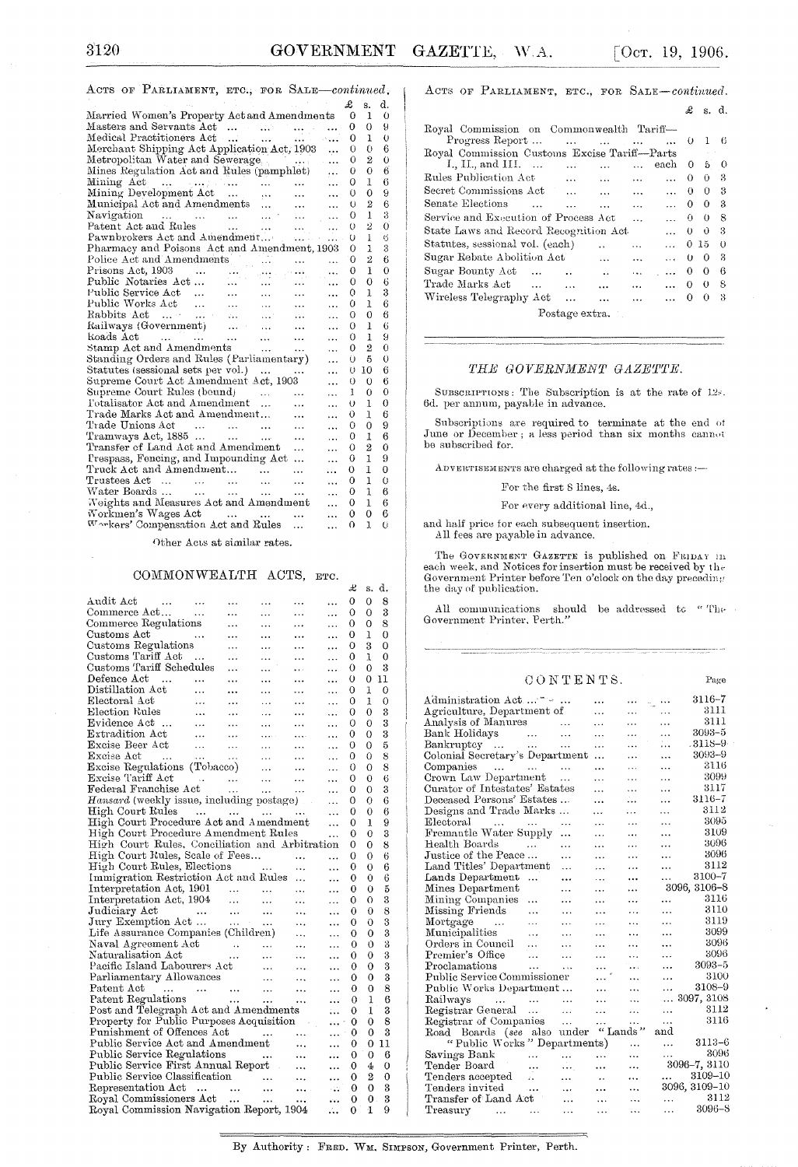ACTS OF PARLIAMENT, ETC., FOR SALE-continued.

|                                                                                                                                                                                                |            |                   |                |           | £        | S.             | d.       |
|------------------------------------------------------------------------------------------------------------------------------------------------------------------------------------------------|------------|-------------------|----------------|-----------|----------|----------------|----------|
| Married Women's Property Act and Amendments                                                                                                                                                    |            |                   |                |           | 0        | 1              | 0        |
| Masters and Servants Act                                                                                                                                                                       |            |                   |                |           | 0        | 0              | 9        |
| Medical Practitioners Act                                                                                                                                                                      |            |                   | $2.11 - 1.00$  |           | 0        | 1              | 0        |
| Merchant Shipping Act Application Act, 1903                                                                                                                                                    |            |                   |                | ٠.,       | 0        | $\Omega$       | 6        |
| Metropolitan Water and Sewerage                                                                                                                                                                |            |                   | فتوارد وتتوارث |           | Õ        | $\overline{2}$ | $\theta$ |
| Mines Regulation Act and Rules (pamphlet)                                                                                                                                                      |            |                   |                | $\ddotsc$ | 0        | $\theta$       | 6        |
| Mining Act $\ldots$ $\ldots$ $\ldots$ $\ldots$                                                                                                                                                 |            |                   |                | .         | 0        | 1              | 6        |
|                                                                                                                                                                                                |            |                   | $\cdots$       |           | 0        | 0              | 9        |
|                                                                                                                                                                                                |            |                   | $\cdots$       | $\ddotsc$ | O        | $\overline{2}$ | 6        |
|                                                                                                                                                                                                |            |                   |                | $\cdots$  | 0        | 1              | 3        |
| ratent Act and Rules<br>Pawnbrokers Act and Amendment                                                                                                                                          |            |                   |                | $\ddotsc$ | 0        | 2              | 0        |
|                                                                                                                                                                                                |            |                   |                | $\cdots$  | O        | l              | 6        |
| Pharmacy and Poisons Act and Amendment, 1903                                                                                                                                                   |            |                   |                |           | О        | 1              | 3        |
| Police Act and Amendments                                                                                                                                                                      |            |                   | $\ddotsc$      | $\ddotsc$ | 0        | 2              | 6        |
| Prisons Act, 1903<br><b>Contractor</b>                                                                                                                                                         |            |                   |                | $\ddotsc$ | 0        | Ŧ              | $\theta$ |
| Public Notaries Act                                                                                                                                                                            |            | mu afrikanski     |                |           | 0        | $\theta$       | 6        |
|                                                                                                                                                                                                | $\sim 100$ |                   | <b></b>        |           | 0        | L              | 3        |
| Public Service Act<br>Public Works Act                                                                                                                                                         |            | $\cdots$          | $\cdots$       | $\cdots$  | 0        | T              | 6        |
|                                                                                                                                                                                                |            | $\sim 10^{11}$    | <b>Silvers</b> | .         | 0        | 0              | 6        |
| Railways (Government)                                                                                                                                                                          |            |                   | <b>Carlos</b>  | .         | 0        | 1              | 6        |
| $\mathbf{r} = \mathbf{r} \cdot \mathbf{r}$ , $\mathbf{r} = \mathbf{r} \cdot \mathbf{r}$ , $\mathbf{r} = \mathbf{r} \cdot \mathbf{r}$ , $\mathbf{r} = \mathbf{r} \cdot \mathbf{r}$<br>koads Act |            |                   | $\cdots$       | .         | 0        | 1              | 9        |
| Stamp Act and Amendments                                                                                                                                                                       |            |                   | $\cdots$       |           | 0        | $\overline{2}$ | 0        |
| Standing Orders and Rules (Parliamentary)                                                                                                                                                      |            |                   |                | .         | O        | 5              | 0        |
| Statutes (sessional sets per vol.)                                                                                                                                                             |            |                   | $\ddotsc$      |           | U        | 10             | 6        |
| Supreme Court Act Amendment Act, 1903                                                                                                                                                          |            |                   |                | .         | 0        | 0              | 6        |
| Supreme Court Rules (bound)                                                                                                                                                                    |            | saan in           |                |           | 1        | $\theta$       | 0        |
| l'otalisator Act and Amendment                                                                                                                                                                 |            |                   |                |           | Ō        | Ŧ              | 0        |
| Trade Marks Act and Amendment                                                                                                                                                                  |            |                   |                | $\ddotsc$ | 0        | 1              | 6        |
| Trade Unions Act<br>$\sim$                                                                                                                                                                     |            | and the company   | $\cdots$       | .         | 0        | $\Omega$       | 9        |
| Tramways Act, $1885$                                                                                                                                                                           |            |                   | $\cdots$       | $\ddotsc$ | 0        | 1              | 6        |
| Transfer of Land Act and Amendment                                                                                                                                                             |            |                   | .              | .         | 0        | $\overline{2}$ | 0        |
| Prespass, Fencing, and Impounding Act                                                                                                                                                          |            |                   | $\ddotsc$      | $\cdots$  | 0        | 1              | 9        |
| Truck Act and Amendment                                                                                                                                                                        |            | $\cdots$          | .              | $\cdots$  | 0        | 1              | 0        |
| Trustees $Act \dots \dots \dots$                                                                                                                                                               |            | $\ddotsc$         | $\ddotsc$      | $\cdots$  | 0        | $\mathbf{I}$   | 0        |
| Water Boards                                                                                                                                                                                   |            |                   | $\cdots$       | .         | 0        | 1              | 6        |
| Weights and Measures Act and Amendment                                                                                                                                                         |            |                   |                |           | 0        | ı              | 6        |
| Workmen's Wages Act                                                                                                                                                                            |            | المستحدث والمتحدث | $\ddotsc$      | .         | 0        | 0              | 6        |
| Warkers' Compensation Act and Rules                                                                                                                                                            |            |                   | .              | $\ddotsc$ | $\Omega$ | 1              | Ŭ        |
|                                                                                                                                                                                                |            |                   |                |           |          |                |          |

Other Acts at similar rates.

### COMMONWEALTH ACTS, ETC.

|                                                                                                                                                                    |                   |                             |                                 |            |             | x  | s.             | α. |
|--------------------------------------------------------------------------------------------------------------------------------------------------------------------|-------------------|-----------------------------|---------------------------------|------------|-------------|----|----------------|----|
| Audit Act<br>$\sim$ 100 $\pm$                                                                                                                                      |                   |                             |                                 | .          | .           | 0  | 0              | 8  |
|                                                                                                                                                                    |                   | .                           | .                               | .          | .           | 0  | 0              | 3  |
| Commerce Regulations                                                                                                                                               |                   | .                           | .                               | $\ddotsc$  | .           | 0  | 0              | 8  |
| Customs Act<br>in a she                                                                                                                                            |                   | .                           | .                               | .          | .           | 0  | 1              | 0  |
| Customs Regulations                                                                                                                                                |                   | $\cdots$                    | .                               | .          |             | 0  | 3              | 0  |
| Customs Tariff Act                                                                                                                                                 |                   | $\ddotsc$                   | .                               | .          | .           | 0  | ı              | 0  |
| Customs Tariff Schedules                                                                                                                                           |                   | .                           | .                               | $\cdots$   | .           | 0  | 0              | 3  |
| Defence Act                                                                                                                                                        |                   | .                           | .                               | $\ddotsc$  |             | 0  | 0              | 11 |
| Distillation Act                                                                                                                                                   | $\sim$ $\sim$     | $\ddotsc$                   | $\cdots$                        | $\ddotsc$  |             | 0  | 1              | 0  |
| Electoral Act                                                                                                                                                      | $\sim$ $\sim$     |                             | $\ddotsc$                       | $\cdots$   | .           | 0  | 1              | 0  |
| Election Rules                                                                                                                                                     | $\ddotsc$         | .                           | .                               |            | .           | 0  | 0              | 3  |
| Evidence Act                                                                                                                                                       | $\sim$ $\sim$     | $\cdots$                    | $\ddotsc$                       | $\ddotsc$  | .           | О  | 0              | 3  |
| Extradition Act                                                                                                                                                    | $\cdots$          | $\ddotsc$                   | $\cdots$                        | $\cdots$   | $\ddotsc$   | 0  | 0              | 3  |
| Excise Beer Act                                                                                                                                                    |                   | $\ldots$                    | $\cdots$                        | $\ddotsc$  | $\ddotsc$   | 0  | 0              | 5  |
| Excise Act<br>and the company of the company                                                                                                                       |                   | $\sim 100$ km s $^{-1}$     | $\ddotsc$                       | $\ddotsc$  | $\ddotsc$   | 0  | 0              | 8  |
| Excise Regulations (Tobacco)                                                                                                                                       |                   | $\mathbb{R}^n$              |                                 | $\ddotsc$  | $\ddotsc$   | 0  | 0              | 8  |
|                                                                                                                                                                    |                   |                             |                                 | $\cdots$   | .           | 0  | 0              | 6  |
|                                                                                                                                                                    |                   |                             |                                 | $\sim$     | $\ddotsc$   | 0  | 0              | 3  |
| Hansard (weekly issue, including postage)                                                                                                                          |                   |                             |                                 |            | $\cdots$    | 0  | 0              | 6  |
| High Court Rules                                                                                                                                                   |                   |                             |                                 |            | $\ddotsc$   | 0  | 0              | 6  |
| High Court Procedure Act and Amendment                                                                                                                             |                   |                             |                                 |            | $\ddotsc$   | 0  | 1              | 9  |
| High Court Procedure Amendment Rules                                                                                                                               |                   |                             |                                 |            | .           | 0  | 0              | 3  |
| High Court Rules, Conciliation and Arbitration                                                                                                                     |                   |                             |                                 |            |             | 0  | 0              | 8  |
| High Court Rules, Scale of Fees                                                                                                                                    |                   |                             |                                 |            |             | 0  | 0              | 6  |
| High Court Rules, Elections                                                                                                                                        |                   |                             | $\frac{1}{2}$ and $\frac{1}{2}$ | $\ddotsc$  | $\ddotsc$   | 0  | 0              | 6  |
| Immigration Restriction Act and Rules                                                                                                                              |                   |                             |                                 |            | $\ddotsc$   | 0  | 0              | 6  |
| Interpretation Act, 1901                                                                                                                                           |                   |                             |                                 |            | .           | 0  | 0              | 5  |
| Interpretation Act, 1904                                                                                                                                           |                   | $\sim 1000$ and $\sim 1000$ |                                 | $\ddotsc$  | .           | 0  | 0              | 3  |
| Judiciary Act                                                                                                                                                      | <b>Contractor</b> | $\sim 100$                  | $\sim 100$                      | $\ddotsc$  | $\cdots$    | 0  | 0              | 8  |
| Jury Exemption Act                                                                                                                                                 |                   |                             |                                 | $\ddotsc$  | .           | 0  | 0              | 3  |
| Life Assurance Companies (Children)                                                                                                                                |                   |                             |                                 | $\cdots$   | .           | 0  | 0              | 3  |
| Naval Agreement Act (a)<br>Naturalisation Act (b)<br>Pacific Island Labourers Act (b)                                                                              |                   |                             |                                 | $\cdots$   |             | 0  | 0              | 3  |
|                                                                                                                                                                    |                   |                             |                                 |            | $\ddotsc$   | 0  | 0              | 3  |
|                                                                                                                                                                    |                   |                             |                                 |            | $\ddotsc$   | 0  | 0              | 3  |
| $\begin{minipage}{.4\linewidth} \textbf{Parliamentary} \textbf{Allowances} & \dots & \dots \\ \textbf{Patent} \textbf{Act} & \dots & \dots & \dots \end{minipage}$ |                   |                             |                                 |            | $\cdot$     | 0  | 0              | 3  |
|                                                                                                                                                                    |                   |                             |                                 | $\ldots$   | .           | 0  | 0              | 8  |
| Patent Regulations                                                                                                                                                 |                   |                             |                                 | $\cdots$   | .           | 0  | 1              | 6  |
| Post and Telegraph Act and Amendments                                                                                                                              |                   |                             |                                 |            |             | 0  | 1              | 3  |
| Property for Public Purposes Acquisition                                                                                                                           |                   |                             |                                 |            |             | 0  | 0              | 8  |
| Punishment of Offences Act                                                                                                                                         |                   |                             |                                 |            |             | 0  | 0              | 3  |
| Public Service Act and Amendment                                                                                                                                   |                   |                             | $\ldots$ $\ldots$ $\ldots$      |            | $\cdots$    | 0  | 0              | 11 |
|                                                                                                                                                                    |                   |                             |                                 |            | $\cdots$    | 0  | 0              | 6  |
| Public Service Regulations<br>Public Service First Annual Report                                                                                                   |                   |                             |                                 |            |             | .0 | 4              | 0  |
|                                                                                                                                                                    |                   |                             |                                 |            | $\cdots$    | 0  | $\overline{2}$ | 0  |
|                                                                                                                                                                    |                   |                             |                                 | $\sim 100$ | $\sim 10^4$ | Θ  | 0              | 3  |
|                                                                                                                                                                    |                   |                             |                                 |            | state.      | 0  | 0              | 3  |
| Royal Commission Navigation Report, 1904                                                                                                                           |                   |                             |                                 |            | ú.          | 0  | 1              | 9  |
|                                                                                                                                                                    |                   |                             |                                 |            |             |    |                |    |

ACTS OF PARLIAMENT, ETC., FOR SALE-continued.

|                                              |  |                       |                           |           |           | £        | S.           | d.       |
|----------------------------------------------|--|-----------------------|---------------------------|-----------|-----------|----------|--------------|----------|
| Royal Commission on Commonwealth Tariff-     |  |                       |                           |           |           |          |              |          |
| Progress Report                              |  |                       | المستحدث المتفارد المتفاد |           | $\ddotsc$ | 0        | 1            | 6        |
| Royal Commission Customs Excise Tariff-Parts |  |                       |                           |           |           |          |              |          |
| I., II., and III. $\ldots$                   |  | $\mathbf{r}$          | $\cdots$                  | $\ddotsc$ | each      | 0        | 5.           | 0        |
| Rules Publication Act                        |  | $\ddotsc$             | $\cdots$                  | $\ddotsc$ | $\cdots$  | $^{()}$  | 0            | 3        |
| Secret Commissions Act                       |  |                       | $\cdots$                  | $\cdots$  | $\cdots$  | 0        | $\Omega$     | 3        |
| Senate Elections                             |  | $\dddot{\phantom{0}}$ | $\ddotsc$                 | $\cdots$  | $\cdots$  | 0        | 0            | 3        |
| Service and Execution of Process Act         |  |                       |                           | $\ddotsc$ |           | 0.       | $\theta$     | 8        |
| State Laws and Record Recognition Act        |  |                       |                           |           | $\ddotsc$ | 0        | $\mathbf{0}$ | 3        |
| Statutes, sessional vol. (each)              |  |                       |                           | .         |           |          | 0, 15        | $\theta$ |
| Sugar Rebate Abolition Act                   |  |                       | $\ddotsc$                 | $\ddotsc$ | $\cdots$  | 0        | $\Omega$     | 3        |
| Sugar Bounty Act                             |  |                       | $\ddot{\phantom{a}}$      | $\ddotsc$ | $\cdots$  | 0        | 0            | 6        |
| Trade Marks Act                              |  | $\ddotsc$             | $\cdots$                  | $\cdots$  |           | $\Omega$ | $_{0}$       | 8        |
| Wireless Telegraphy Act                      |  | $\ddotsc$             |                           | $\cdots$  |           | 0        | 0            | 3        |
| Postage extra.                               |  |                       |                           |           |           |          |              |          |

### THE GOVERNMENT GAZETTE.

SUBSCRIPTIONS: The Subscription is at the rate of 12s. 6d. per annum, payable in advance.

Subscriptions are required to terminate at the end of June or December ; a less period than six months cannot be subscribed for.

ADVERTISEMENTS are charged at the following rates :-

For the first 8 lines, 4s.

For every additional line, 4d.,

and half price for each subsequent insertion. All fees are payable in advance.

The GOVERNMENT GAZETTE is published on FRIDAY in each week, and Notices for insertion must be received by the Government Printer before Ten o'clock on the day preceding the day of publication.

All communications should be addressed to "The Government Printer, Perth."  $\,$ 

### CONTENTS.

Page

| Administration Act $\ldots$ $\sim$       |           | .                      | $\cdots$  | ددوان     | $3116 - 7$    |
|------------------------------------------|-----------|------------------------|-----------|-----------|---------------|
| Agriculture, Department of               |           | $\cdots$               | .         | $\cdots$  | 3111          |
| Analysis of Manures                      | $\ddotsc$ | .                      | .         | $\cdots$  | 3111          |
| Bank Holidays<br><b>Contractor</b>       | $\ddotsc$ | $\cdots$               | $\ddotsc$ | $\ddotsc$ | $3093 - 5$    |
| Bankruptcy                               | $\ddotsc$ | $\ddotsc$              | .         | 1. .      | . 3118–9      |
| Colonial Secretary's Department          |           | $\ddotsc$              | .         | $\ddotsc$ | 3093-9        |
| Companies                                |           |                        | .         | $\cdots$  | 3116          |
| Crown Law Department                     | $\ddotsc$ | $\cdots$               | $\cdots$  | .         | 3099          |
| Curator of Intestates' Estates           |           | $\cdots$               | $\ddotsc$ | $\ldots$  | 3117          |
| Deceased Persons' Estates                |           | .                      | .         | .         | $3116 - 7$    |
| Designs and Trade Marks                  | $\ddotsc$ | $\cdots$               | .         | .         | 3112          |
| Electoral<br>and the state of            |           | $\cdots$               | $\ddotsc$ | $\ddotsc$ | 3095          |
| Fremantle Water Supply                   | .         | .                      | $\cdots$  | $\cdots$  | 3109          |
| Health Boards                            | .         | .                      | .         | .         | 3096          |
| Justice of the Peace                     | .         | $\ddotsc$              | .         | $\ddotsc$ | 3096          |
| Land Titles' Department                  | .         | .                      | .         | .         | 3112          |
| Lands Department<br>$\ddotsc$            |           | .                      |           | .         | 3100-7        |
| Mines Department                         | .         | .                      |           |           | 3096, 3106-8  |
| Mining Companies<br>$\ddotsc$            | .         | $\cdots$               |           | $\ddotsc$ | 3116          |
| Missing Friends<br>$\cdots$              | .         | $\ddotsc$              | .         | .         | 3110          |
| Mortgage<br>$\ddotsc$                    | .         | .                      | .         | .         | 3119          |
| Municipalities<br>$\ddotsc$              | .         | $\cdots$               | $\ddotsc$ | $\ddotsc$ | 3099          |
| Orders in Council<br>$\sim$              | .         | $\cdots$               | $\ddotsc$ | $\ddotsc$ | 3096          |
| Premier's Office<br>$\ddotsc$            | $\ddotsc$ | $\ddot{\phantom{a}}$   |           | $\ddotsc$ | 3096          |
| Proclamations<br>$\ddotsc$               | .         | $\ddotsc$              |           |           | $3093 - 5$    |
| Public Service Commissioner              |           |                        | $\cdot$ . | $\cdots$  | 3100          |
| Public Works Department                  |           | 444                    | .         | .         | 3108-9        |
| Railways<br>and the contract of the      | $\ddotsc$ | $\cdots$               | $\ddotsc$ | $\cdots$  | 3097, 3108    |
| Registrar General                        | $\cdots$  | .                      | .         | $\ldots$  | 3112          |
| Registrar of Companies                   | $\ldots$  | .                      |           | $\cdots$  | 3116          |
| Road Boards (see also under              |           | "Lands                 |           | and       |               |
| "Public Works" Departments)              |           |                        | .         | $\cdots$  | $3113 - 6$    |
| Savings Bank<br>$\ddotsc$                | .         | .                      | .         | .         | 3096          |
| Tender Board<br>                         | $\cdots$  | $\ddotsc$              |           |           | 3096-7, 3110  |
| Tenders accepted<br>z.                   | $\ddotsc$ | $\ddot{\phantom{a}}$ . |           | aasta ta  | 3109-10       |
| Tenders invited<br>$\sim$                | $\cdots$  | .                      | $\ddotsc$ |           | 3096, 3109–10 |
| Transfer of Land Act                     | $\cdots$  | $\cdots$               |           | .         | 3112          |
| Treasury<br>$\sim$ 100 $\pm$<br>$\cdots$ | .         | .                      | $\cdots$  | .         | 3096-8        |

By Authority: FRED. WM. SIMPSON, Government Printer, Perth.